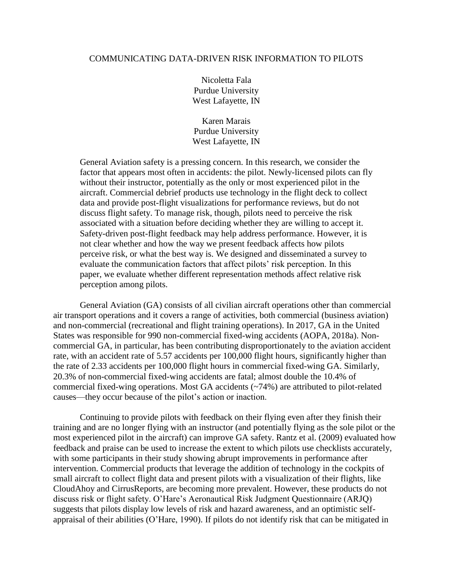## COMMUNICATING DATA-DRIVEN RISK INFORMATION TO PILOTS

Nicoletta Fala Purdue University West Lafayette, IN

Karen Marais Purdue University West Lafayette, IN

General Aviation safety is a pressing concern. In this research, we consider the factor that appears most often in accidents: the pilot. Newly-licensed pilots can fly without their instructor, potentially as the only or most experienced pilot in the aircraft. Commercial debrief products use technology in the flight deck to collect data and provide post-flight visualizations for performance reviews, but do not discuss flight safety. To manage risk, though, pilots need to perceive the risk associated with a situation before deciding whether they are willing to accept it. Safety-driven post-flight feedback may help address performance. However, it is not clear whether and how the way we present feedback affects how pilots perceive risk, or what the best way is. We designed and disseminated a survey to evaluate the communication factors that affect pilots' risk perception. In this paper, we evaluate whether different representation methods affect relative risk perception among pilots.

General Aviation (GA) consists of all civilian aircraft operations other than commercial air transport operations and it covers a range of activities, both commercial (business aviation) and non-commercial (recreational and flight training operations). In 2017, GA in the United States was responsible for 990 non-commercial fixed-wing accidents (AOPA, 2018a). Noncommercial GA, in particular, has been contributing disproportionately to the aviation accident rate, with an accident rate of 5.57 accidents per 100,000 flight hours, significantly higher than the rate of 2.33 accidents per 100,000 flight hours in commercial fixed-wing GA. Similarly, 20.3% of non-commercial fixed-wing accidents are fatal; almost double the 10.4% of commercial fixed-wing operations. Most GA accidents (~74%) are attributed to pilot-related causes—they occur because of the pilot's action or inaction.

Continuing to provide pilots with feedback on their flying even after they finish their training and are no longer flying with an instructor (and potentially flying as the sole pilot or the most experienced pilot in the aircraft) can improve GA safety. Rantz et al. (2009) evaluated how feedback and praise can be used to increase the extent to which pilots use checklists accurately, with some participants in their study showing abrupt improvements in performance after intervention. Commercial products that leverage the addition of technology in the cockpits of small aircraft to collect flight data and present pilots with a visualization of their flights, like CloudAhoy and CirrusReports, are becoming more prevalent. However, these products do not discuss risk or flight safety. O'Hare's Aeronautical Risk Judgment Questionnaire (ARJQ) suggests that pilots display low levels of risk and hazard awareness, and an optimistic selfappraisal of their abilities (O'Hare, 1990). If pilots do not identify risk that can be mitigated in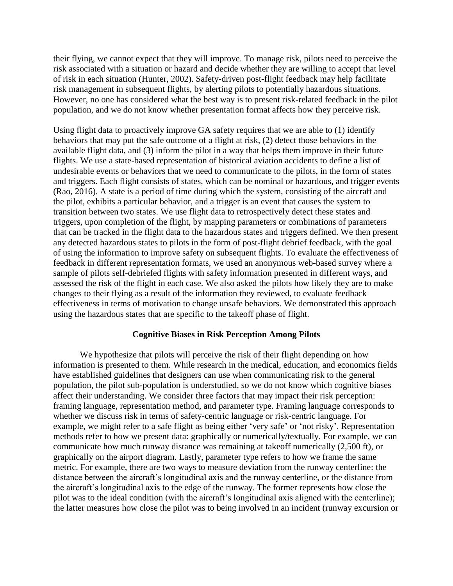their flying, we cannot expect that they will improve. To manage risk, pilots need to perceive the risk associated with a situation or hazard and decide whether they are willing to accept that level of risk in each situation (Hunter, 2002). Safety-driven post-flight feedback may help facilitate risk management in subsequent flights, by alerting pilots to potentially hazardous situations. However, no one has considered what the best way is to present risk-related feedback in the pilot population, and we do not know whether presentation format affects how they perceive risk.

Using flight data to proactively improve GA safety requires that we are able to (1) identify behaviors that may put the safe outcome of a flight at risk, (2) detect those behaviors in the available flight data, and (3) inform the pilot in a way that helps them improve in their future flights. We use a state-based representation of historical aviation accidents to define a list of undesirable events or behaviors that we need to communicate to the pilots, in the form of states and triggers. Each flight consists of states, which can be nominal or hazardous, and trigger events (Rao, 2016). A state is a period of time during which the system, consisting of the aircraft and the pilot, exhibits a particular behavior, and a trigger is an event that causes the system to transition between two states. We use flight data to retrospectively detect these states and triggers, upon completion of the flight, by mapping parameters or combinations of parameters that can be tracked in the flight data to the hazardous states and triggers defined. We then present any detected hazardous states to pilots in the form of post-flight debrief feedback, with the goal of using the information to improve safety on subsequent flights. To evaluate the effectiveness of feedback in different representation formats, we used an anonymous web-based survey where a sample of pilots self-debriefed flights with safety information presented in different ways, and assessed the risk of the flight in each case. We also asked the pilots how likely they are to make changes to their flying as a result of the information they reviewed, to evaluate feedback effectiveness in terms of motivation to change unsafe behaviors. We demonstrated this approach using the hazardous states that are specific to the takeoff phase of flight.

#### **Cognitive Biases in Risk Perception Among Pilots**

We hypothesize that pilots will perceive the risk of their flight depending on how information is presented to them. While research in the medical, education, and economics fields have established guidelines that designers can use when communicating risk to the general population, the pilot sub-population is understudied, so we do not know which cognitive biases affect their understanding. We consider three factors that may impact their risk perception: framing language, representation method, and parameter type. Framing language corresponds to whether we discuss risk in terms of safety-centric language or risk-centric language. For example, we might refer to a safe flight as being either 'very safe' or 'not risky'. Representation methods refer to how we present data: graphically or numerically/textually. For example, we can communicate how much runway distance was remaining at takeoff numerically (2,500 ft), or graphically on the airport diagram. Lastly, parameter type refers to how we frame the same metric. For example, there are two ways to measure deviation from the runway centerline: the distance between the aircraft's longitudinal axis and the runway centerline, or the distance from the aircraft's longitudinal axis to the edge of the runway. The former represents how close the pilot was to the ideal condition (with the aircraft's longitudinal axis aligned with the centerline); the latter measures how close the pilot was to being involved in an incident (runway excursion or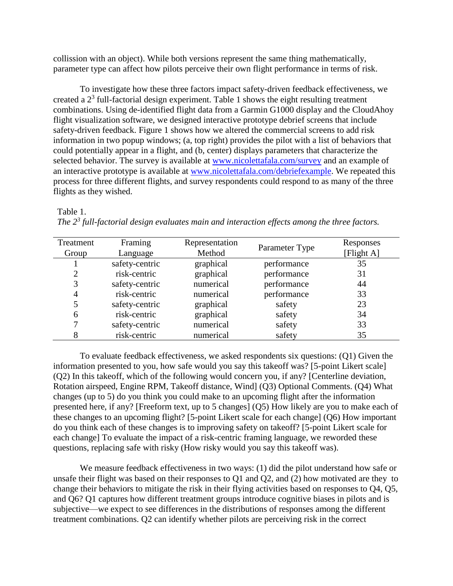collission with an object). While both versions represent the same thing mathematically, parameter type can affect how pilots perceive their own flight performance in terms of risk.

To investigate how these three factors impact safety-driven feedback effectiveness, we created a  $2<sup>3</sup>$  full-factorial design experiment. Table 1 shows the eight resulting treatment combinations. Using de-identified flight data from a Garmin G1000 display and the CloudAhoy flight visualization software, we designed interactive prototype debrief screens that include safety-driven feedback. [Figure 1](#page-3-0) shows how we altered the commercial screens to add risk information in two popup windows; (a, top right) provides the pilot with a list of behaviors that could potentially appear in a flight, and (b, center) displays parameters that characterize the selected behavior. The survey is available at [www.nicolettafala.com/survey](http://www.nicolettafala.com/survey) and an example of an interactive prototype is available at [www.nicolettafala.com/debriefexample.](http://www.nicolettafala.com/debriefexample) We repeated this process for three different flights, and survey respondents could respond to as many of the three flights as they wished.

Table 1.

| Treatment<br>Group | Framing<br>Language | Representation<br>Method | Parameter Type | Responses<br>[Flight A] |
|--------------------|---------------------|--------------------------|----------------|-------------------------|
|                    | safety-centric      | graphical                | performance    | 35                      |
| റ                  | risk-centric        | graphical                | performance    | 31                      |
| 3                  | safety-centric      | numerical                | performance    | 44                      |
| 4                  | risk-centric        | numerical                | performance    | 33                      |
|                    | safety-centric      | graphical                | safety         | 23                      |
| 6                  | risk-centric        | graphical                | safety         | 34                      |
|                    | safety-centric      | numerical                | safety         | 33                      |
|                    | risk-centric        | numerical                | safety         | 35                      |

*The 2<sup>3</sup> full-factorial design evaluates main and interaction effects among the three factors.* 

To evaluate feedback effectiveness, we asked respondents six questions: (Q1) Given the information presented to you, how safe would you say this takeoff was? [5-point Likert scale] (Q2) In this takeoff, which of the following would concern you, if any? [Centerline deviation, Rotation airspeed, Engine RPM, Takeoff distance, Wind] (Q3) Optional Comments. (Q4) What changes (up to 5) do you think you could make to an upcoming flight after the information presented here, if any? [Freeform text, up to 5 changes] (Q5) How likely are you to make each of these changes to an upcoming flight? [5-point Likert scale for each change] (Q6) How important do you think each of these changes is to improving safety on takeoff? [5-point Likert scale for each change] To evaluate the impact of a risk-centric framing language, we reworded these questions, replacing safe with risky (How risky would you say this takeoff was).

We measure feedback effectiveness in two ways: (1) did the pilot understand how safe or unsafe their flight was based on their responses to Q1 and Q2, and (2) how motivated are they to change their behaviors to mitigate the risk in their flying activities based on responses to Q4, Q5, and Q6? Q1 captures how different treatment groups introduce cognitive biases in pilots and is subjective—we expect to see differences in the distributions of responses among the different treatment combinations. Q2 can identify whether pilots are perceiving risk in the correct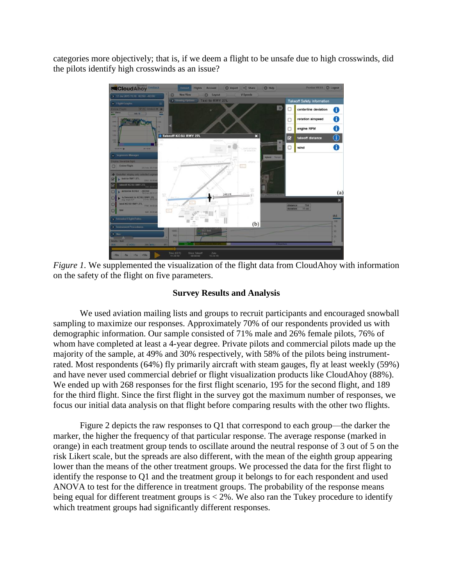categories more objectively; that is, if we deem a flight to be unsafe due to high crosswinds, did the pilots identify high crosswinds as an issue?



<span id="page-3-0"></span>*Figure 1.* We supplemented the visualization of the flight data from CloudAhoy with information on the safety of the flight on five parameters.

# **Survey Results and Analysis**

We used aviation mailing lists and groups to recruit participants and encouraged snowball sampling to maximize our responses. Approximately 70% of our respondents provided us with demographic information. Our sample consisted of 71% male and 26% female pilots, 76% of whom have completed at least a 4-year degree. Private pilots and commercial pilots made up the majority of the sample, at 49% and 30% respectively, with 58% of the pilots being instrumentrated. Most respondents (64%) fly primarily aircraft with steam gauges, fly at least weekly (59%) and have never used commercial debrief or flight visualization products like CloudAhoy (88%). We ended up with 268 responses for the first flight scenario, 195 for the second flight, and 189 for the third flight. Since the first flight in the survey got the maximum number of responses, we focus our initial data analysis on that flight before comparing results with the other two flights.

[Figure 2](#page-4-0) depicts the raw responses to Q1 that correspond to each group—the darker the marker, the higher the frequency of that particular response. The average response (marked in orange) in each treatment group tends to oscillate around the neutral response of 3 out of 5 on the risk Likert scale, but the spreads are also different, with the mean of the eighth group appearing lower than the means of the other treatment groups. We processed the data for the first flight to identify the response to Q1 and the treatment group it belongs to for each respondent and used ANOVA to test for the difference in treatment groups. The probability of the response means being equal for different treatment groups is  $< 2\%$ . We also ran the Tukey procedure to identify which treatment groups had significantly different responses.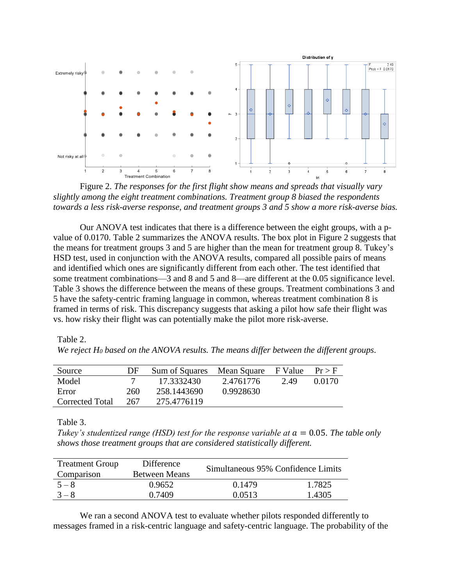

<span id="page-4-0"></span>Figure 2. *The responses for the first flight show means and spreads that visually vary slightly among the eight treatment combinations. Treatment group 8 biased the respondents towards a less risk-averse response, and treatment groups 3 and 5 show a more risk-averse bias.* 

Our ANOVA test indicates that there is a difference between the eight groups, with a pvalue of 0.0170. Table 2 summarizes the ANOVA results. The box plot in [Figure 2](#page-4-0) suggests that the means for treatment groups 3 and 5 are higher than the mean for treatment group 8. Tukey's HSD test, used in conjunction with the ANOVA results, compared all possible pairs of means and identified which ones are significantly different from each other. The test identified that some treatment combinations—3 and 8 and 5 and 8—are different at the 0.05 significance level. Table 3 shows the difference between the means of these groups. Treatment combinations 3 and 5 have the safety-centric framing language in common, whereas treatment combination 8 is framed in terms of risk. This discrepancy suggests that asking a pilot how safe their flight was vs. how risky their flight was can potentially make the pilot more risk-averse.

Table 2. *We reject H<sup>0</sup> based on the ANOVA results. The means differ between the different groups.*

| Source          | DF  | Sum of Squares | Mean Square | F Value | $Pr$ > F |
|-----------------|-----|----------------|-------------|---------|----------|
| Model           |     | 17.3332430     | 2.4761776   | 2.49    | 0.0170   |
| Error           | 260 | 258.1443690    | 0.9928630   |         |          |
| Corrected Total | 267 | 275.4776119    |             |         |          |

Table 3.

*Tukey's studentized range (HSD) test for the response variable at*  $a = 0.05$ *. The table only shows those treatment groups that are considered statistically different.* 

| <b>Treatment Group</b> | Difference           | Simultaneous 95% Confidence Limits |        |  |
|------------------------|----------------------|------------------------------------|--------|--|
| Comparison             | <b>Between Means</b> |                                    |        |  |
| $5 - 8$                | 0.9652               | 0.1479                             | 1.7825 |  |
| $3 - 8$                | 0.7409               | 0.0513                             | 1.4305 |  |

We ran a second ANOVA test to evaluate whether pilots responded differently to messages framed in a risk-centric language and safety-centric language. The probability of the